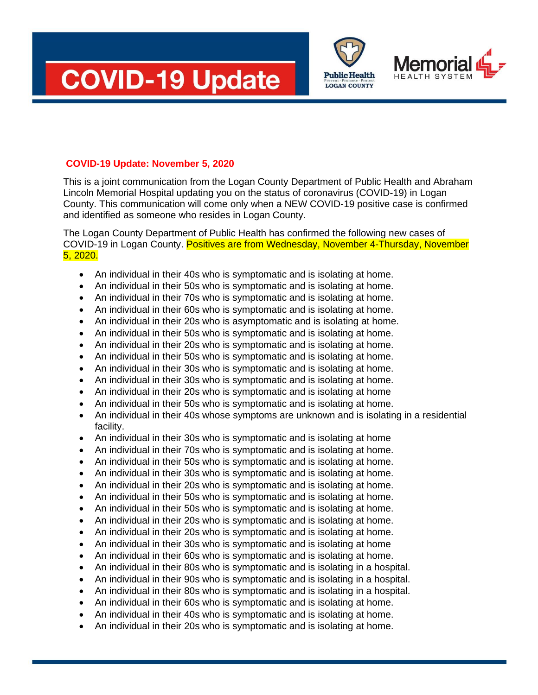





### **COVID-19 Update: November 5, 2020**

This is a joint communication from the Logan County Department of Public Health and Abraham Lincoln Memorial Hospital updating you on the status of coronavirus (COVID-19) in Logan County. This communication will come only when a NEW COVID-19 positive case is confirmed and identified as someone who resides in Logan County.

The Logan County Department of Public Health has confirmed the following new cases of COVID-19 in Logan County. Positives are from Wednesday, November 4-Thursday, November 5, 2020.

- An individual in their 40s who is symptomatic and is isolating at home.
- An individual in their 50s who is symptomatic and is isolating at home.
- An individual in their 70s who is symptomatic and is isolating at home.
- An individual in their 60s who is symptomatic and is isolating at home.
- An individual in their 20s who is asymptomatic and is isolating at home.
- An individual in their 50s who is symptomatic and is isolating at home.
- An individual in their 20s who is symptomatic and is isolating at home.
- An individual in their 50s who is symptomatic and is isolating at home.
- An individual in their 30s who is symptomatic and is isolating at home.
- An individual in their 30s who is symptomatic and is isolating at home.
- An individual in their 20s who is symptomatic and is isolating at home
- An individual in their 50s who is symptomatic and is isolating at home.
- An individual in their 40s whose symptoms are unknown and is isolating in a residential facility.
- An individual in their 30s who is symptomatic and is isolating at home
- An individual in their 70s who is symptomatic and is isolating at home.
- An individual in their 50s who is symptomatic and is isolating at home.
- An individual in their 30s who is symptomatic and is isolating at home.
- An individual in their 20s who is symptomatic and is isolating at home.
- An individual in their 50s who is symptomatic and is isolating at home.
- An individual in their 50s who is symptomatic and is isolating at home.
- An individual in their 20s who is symptomatic and is isolating at home.
- An individual in their 20s who is symptomatic and is isolating at home.
- An individual in their 30s who is symptomatic and is isolating at home
- An individual in their 60s who is symptomatic and is isolating at home.
- An individual in their 80s who is symptomatic and is isolating in a hospital.
- An individual in their 90s who is symptomatic and is isolating in a hospital.
- An individual in their 80s who is symptomatic and is isolating in a hospital.
- An individual in their 60s who is symptomatic and is isolating at home.
- An individual in their 40s who is symptomatic and is isolating at home.
- An individual in their 20s who is symptomatic and is isolating at home.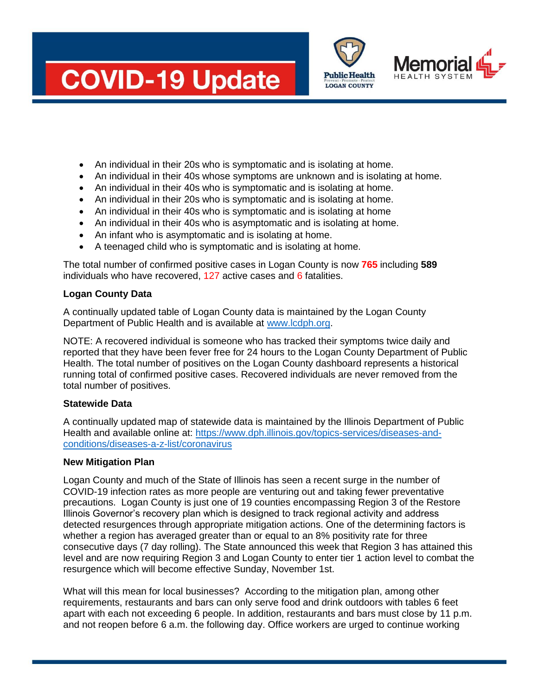# **COVID-19 Update**





- An individual in their 20s who is symptomatic and is isolating at home.
- An individual in their 40s whose symptoms are unknown and is isolating at home.
- An individual in their 40s who is symptomatic and is isolating at home.
- An individual in their 20s who is symptomatic and is isolating at home.
- An individual in their 40s who is symptomatic and is isolating at home
- An individual in their 40s who is asymptomatic and is isolating at home.
- An infant who is asymptomatic and is isolating at home.
- A teenaged child who is symptomatic and is isolating at home.

The total number of confirmed positive cases in Logan County is now **765** including **589** individuals who have recovered, 127 active cases and 6 fatalities.

# **Logan County Data**

A continually updated table of Logan County data is maintained by the Logan County Department of Public Health and is available at [www.lcdph.org.](http://www.lcdph.org/)

NOTE: A recovered individual is someone who has tracked their symptoms twice daily and reported that they have been fever free for 24 hours to the Logan County Department of Public Health. The total number of positives on the Logan County dashboard represents a historical running total of confirmed positive cases. Recovered individuals are never removed from the total number of positives.

# **Statewide Data**

A continually updated map of statewide data is maintained by the Illinois Department of Public Health and available online at: [https://www.dph.illinois.gov/topics-services/diseases-and](https://www.dph.illinois.gov/topics-services/diseases-and-conditions/diseases-a-z-list/coronavirus)[conditions/diseases-a-z-list/coronavirus](https://www.dph.illinois.gov/topics-services/diseases-and-conditions/diseases-a-z-list/coronavirus)

# **New Mitigation Plan**

Logan County and much of the State of Illinois has seen a recent surge in the number of COVID-19 infection rates as more people are venturing out and taking fewer preventative precautions. Logan County is just one of 19 counties encompassing Region 3 of the Restore Illinois Governor's recovery plan which is designed to track regional activity and address detected resurgences through appropriate mitigation actions. One of the determining factors is whether a region has averaged greater than or equal to an 8% positivity rate for three consecutive days (7 day rolling). The State announced this week that Region 3 has attained this level and are now requiring Region 3 and Logan County to enter tier 1 action level to combat the resurgence which will become effective Sunday, November 1st.

What will this mean for local businesses? According to the mitigation plan, among other requirements, restaurants and bars can only serve food and drink outdoors with tables 6 feet apart with each not exceeding 6 people. In addition, restaurants and bars must close by 11 p.m. and not reopen before 6 a.m. the following day. Office workers are urged to continue working